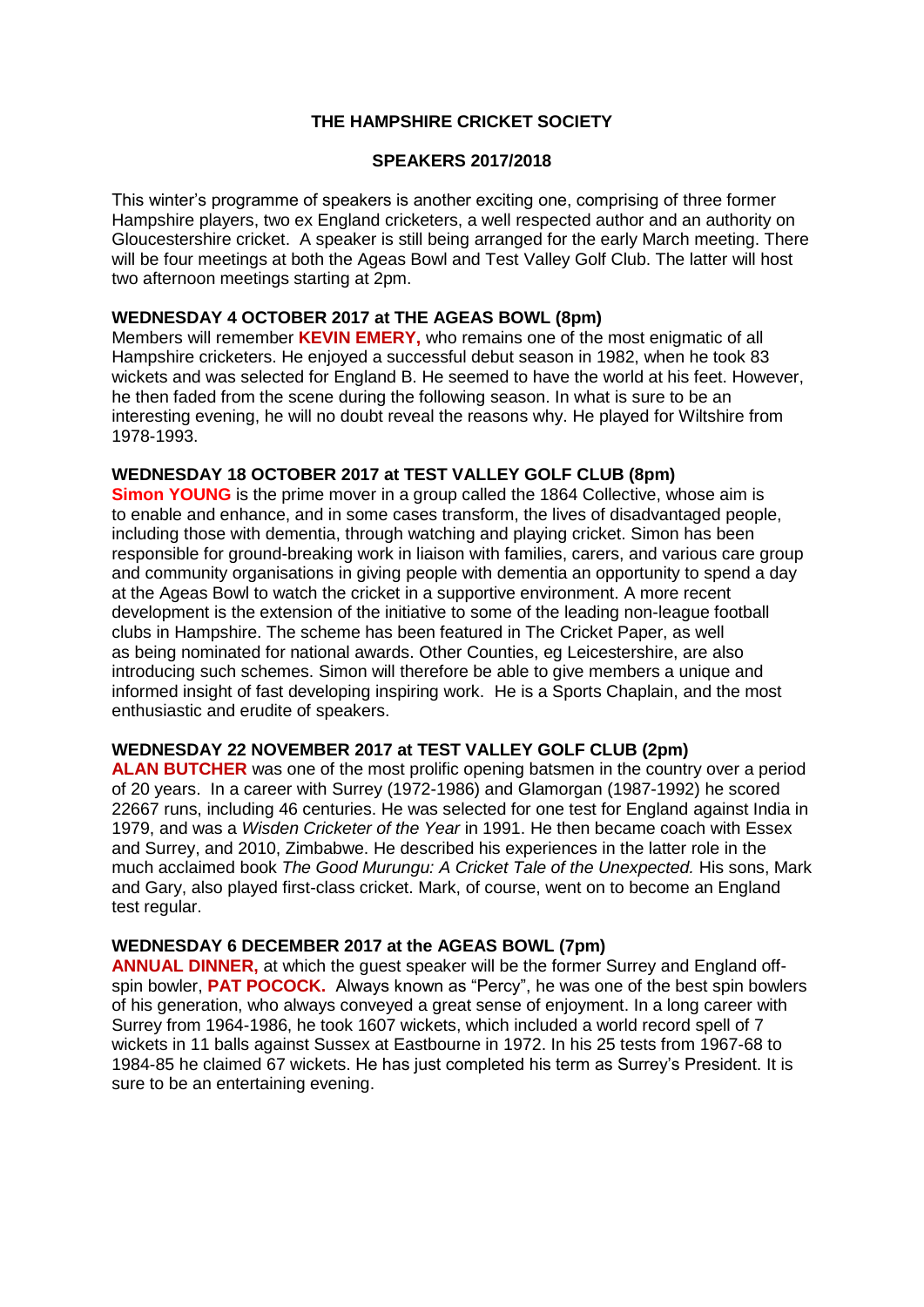# **THE HAMPSHIRE CRICKET SOCIETY**

### **SPEAKERS 2017/2018**

This winter's programme of speakers is another exciting one, comprising of three former Hampshire players, two ex England cricketers, a well respected author and an authority on Gloucestershire cricket. A speaker is still being arranged for the early March meeting. There will be four meetings at both the Ageas Bowl and Test Valley Golf Club. The latter will host two afternoon meetings starting at 2pm.

### **WEDNESDAY 4 OCTOBER 2017 at THE AGEAS BOWL (8pm)**

Members will remember **KEVIN EMERY,** who remains one of the most enigmatic of all Hampshire cricketers. He enjoyed a successful debut season in 1982, when he took 83 wickets and was selected for England B. He seemed to have the world at his feet. However, he then faded from the scene during the following season. In what is sure to be an interesting evening, he will no doubt reveal the reasons why. He played for Wiltshire from 1978-1993.

#### **WEDNESDAY 18 OCTOBER 2017 at TEST VALLEY GOLF CLUB (8pm)**

**Simon YOUNG** is the prime mover in a group called the 1864 Collective, whose aim is to enable and enhance, and in some cases transform, the lives of disadvantaged people, including those with dementia, through watching and playing cricket. Simon has been responsible for ground-breaking work in liaison with families, carers, and various care group and community organisations in giving people with dementia an opportunity to spend a day at the Ageas Bowl to watch the cricket in a supportive environment. A more recent development is the extension of the initiative to some of the leading non-league football clubs in Hampshire. The scheme has been featured in The Cricket Paper, as well as being nominated for national awards. Other Counties, eg Leicestershire, are also introducing such schemes. Simon will therefore be able to give members a unique and informed insight of fast developing inspiring work. He is a Sports Chaplain, and the most enthusiastic and erudite of speakers.

### **WEDNESDAY 22 NOVEMBER 2017 at TEST VALLEY GOLF CLUB (2pm)**

**ALAN BUTCHER** was one of the most prolific opening batsmen in the country over a period of 20 years. In a career with Surrey (1972-1986) and Glamorgan (1987-1992) he scored 22667 runs, including 46 centuries. He was selected for one test for England against India in 1979, and was a *Wisden Cricketer of the Year* in 1991. He then became coach with Essex and Surrey, and 2010, Zimbabwe. He described his experiences in the latter role in the much acclaimed book *The Good Murungu: A Cricket Tale of the Unexpected.* His sons, Mark and Gary, also played first-class cricket. Mark, of course, went on to become an England test regular.

#### **WEDNESDAY 6 DECEMBER 2017 at the AGEAS BOWL (7pm)**

**ANNUAL DINNER,** at which the guest speaker will be the former Surrey and England offspin bowler, **PAT POCOCK.** Always known as "Percy", he was one of the best spin bowlers of his generation, who always conveyed a great sense of enjoyment. In a long career with Surrey from 1964-1986, he took 1607 wickets, which included a world record spell of 7 wickets in 11 balls against Sussex at Eastbourne in 1972. In his 25 tests from 1967-68 to 1984-85 he claimed 67 wickets. He has just completed his term as Surrey's President. It is sure to be an entertaining evening.